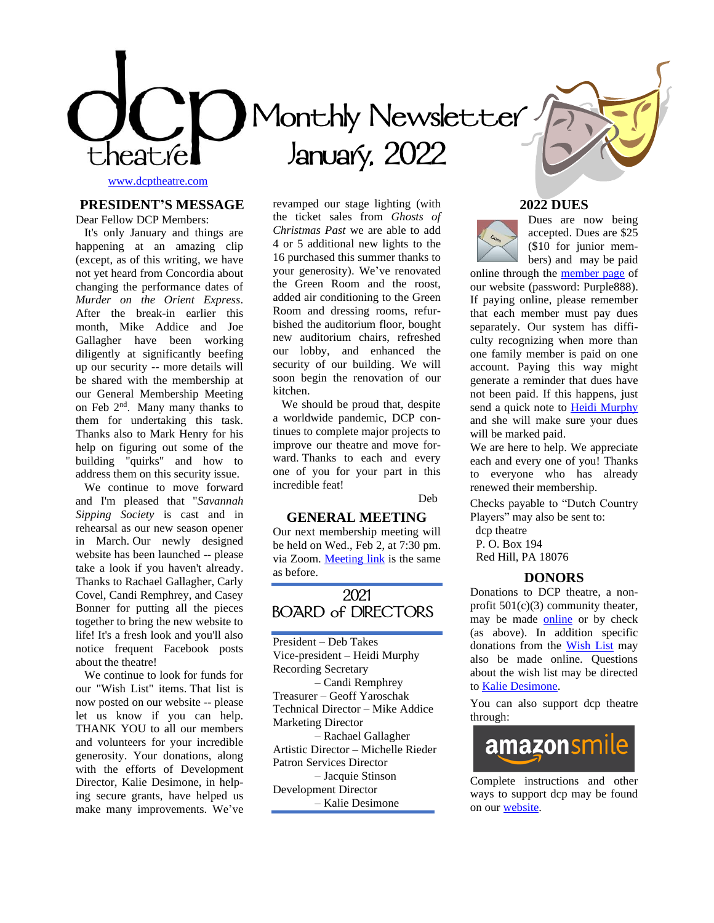

# **Monthly Newsletter January, 2022**

[www.dcptheatre.com](http://www.dcptheatre.com/)

## **PRESIDENT'S MESSAGE**

Dear Fellow DCP Members:

 It's only January and things are happening at an amazing clip (except, as of this writing, we have not yet heard from Concordia about changing the performance dates of *Murder on the Orient Express*. After the break-in earlier this month, Mike Addice and Joe Gallagher have been working diligently at significantly beefing up our security -- more details will be shared with the membership at our General Membership Meeting on Feb  $2<sup>nd</sup>$ . Many many thanks to them for undertaking this task. Thanks also to Mark Henry for his help on figuring out some of the building "quirks" and how to address them on this security issue.

 We continue to move forward and I'm pleased that "*Savannah Sipping Society* is cast and in rehearsal as our new season opener in March. Our newly designed website has been launched -- please take a look if you haven't already. Thanks to Rachael Gallagher, Carly Covel, Candi Remphrey, and Casey Bonner for putting all the pieces together to bring the new website to life! It's a fresh look and you'll also notice frequent Facebook posts about the theatre!

 We continue to look for funds for our "Wish List" items. That list is now posted on our website -- please let us know if you can help. THANK YOU to all our members and volunteers for your incredible generosity. Your donations, along with the efforts of Development Director, Kalie Desimone, in helping secure grants, have helped us make many improvements. We've revamped our stage lighting (with the ticket sales from *Ghosts of Christmas Past* we are able to add 4 or 5 additional new lights to the 16 purchased this summer thanks to your generosity). We've renovated the Green Room and the roost, added air conditioning to the Green Room and dressing rooms, refurbished the auditorium floor, bought new auditorium chairs, refreshed our lobby, and enhanced the security of our building. We will soon begin the renovation of our kitchen.

 We should be proud that, despite a worldwide pandemic, DCP continues to complete major projects to improve our theatre and move forward. Thanks to each and every one of you for your part in this incredible feat!

Deb

#### **GENERAL MEETING**

Our next membership meeting will be held on Wed., Feb 2, at 7:30 pm. via Zoom. [Meeting](https://us02web.zoom.us/j/82418450829?pwd=S2NOYnovMmhYbWRObzNSQjJ5Ujh4Zz09#success) link is the same as before.

# **2021 BOARD of DIRECTORS**

President – Deb Takes Vice-president – Heidi Murphy Recording Secretary – Candi Remphrey Treasurer – Geoff Yaroschak Technical Director – Mike Addice Marketing Director – Rachael Gallagher Artistic Director – Michelle Rieder Patron Services Director – Jacquie Stinson Development Director – Kalie Desimone





Dues are now being accepted. Dues are \$25 (\$10 for junior members) and may be paid

online through the [member page](https://www.dcptheatre.org/current-members) of our website (password: Purple888). If paying online, please remember that each member must pay dues separately. Our system has difficulty recognizing when more than one family member is paid on one account. Paying this way might generate a reminder that dues have not been paid. If this happens, just send a quick note to **Heidi [Murphy](mailto:vp@dcptheatre.org)** and she will make sure your dues will be marked paid.

We are here to help. We appreciate each and every one of you! Thanks to everyone who has already renewed their membership.

Checks payable to "Dutch Country Players" may also be sent to:

dcp theatre

P. O. Box 194

Red Hill, PA 18076

## **DONORS**

Donations to DCP theatre, a nonprofit  $501(c)(3)$  community theater, may be made [online](https://ci.ovationtix.com/35494/store/donations/35973) or by check (as above). In addition specific donations from the [Wish List](https://www.dcptheatre.org/wish-list) may also be made online. Questions about the wish list may be directed t[o Kalie Desimone.](mailto:Kaliedesimone@yahoo.com)

You can also support dcp theatre through:



Complete instructions and other ways to support dcp may be found on ou[r website.](https://www.dcptheatre.org/support)